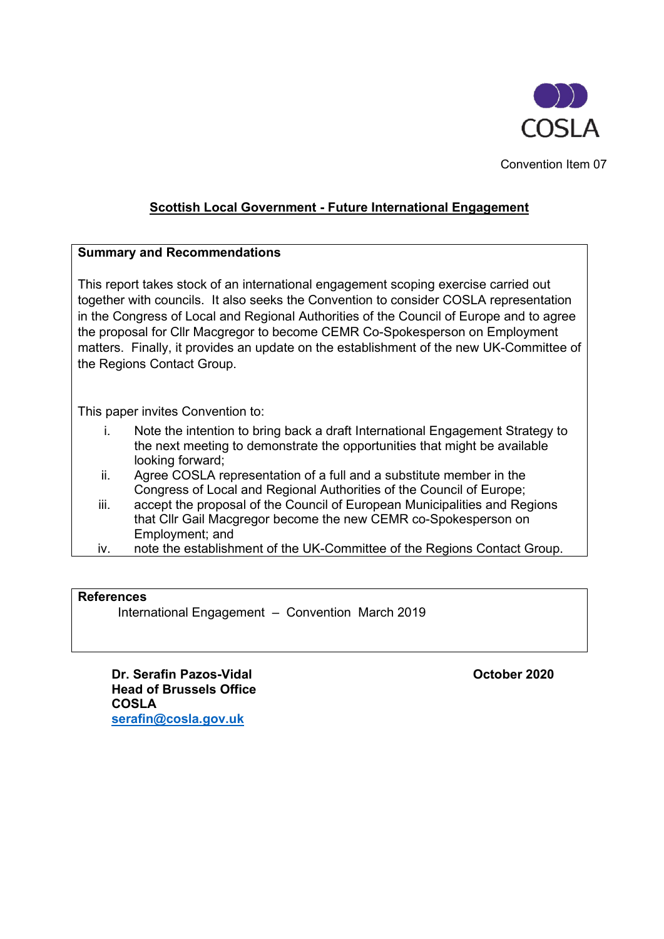

Convention Item 07

# **Scottish Local Government - Future International Engagement**

## **Summary and Recommendations**

This report takes stock of an international engagement scoping exercise carried out together with councils. It also seeks the Convention to consider COSLA representation in the Congress of Local and Regional Authorities of the Council of Europe and to agree the proposal for Cllr Macgregor to become CEMR Co-Spokesperson on Employment matters. Finally, it provides an update on the establishment of the new UK-Committee of the Regions Contact Group.

This paper invites Convention to:

- i. Note the intention to bring back a draft International Engagement Strategy to the next meeting to demonstrate the opportunities that might be available looking forward;
- ii. Agree COSLA representation of a full and a substitute member in the Congress of Local and Regional Authorities of the Council of Europe;
- iii. accept the proposal of the Council of European Municipalities and Regions that Cllr Gail Macgregor become the new CEMR co-Spokesperson on Employment; and
- iv. note the establishment of the UK-Committee of the Regions Contact Group.

#### **References**

International Engagement – Convention March 2019

**Dr. Serafin Pazos-Vidal <b>Contract Contract Contract Contract Contract Contract Contract Contract Contract Contract Contract Contract Contract Contract Contract Contract Contract Contract Contract Contract Contract Contrac Head of Brussels Office COSLA [serafin@cosla.gov.uk](mailto:serafin@cosla.gov.uk)**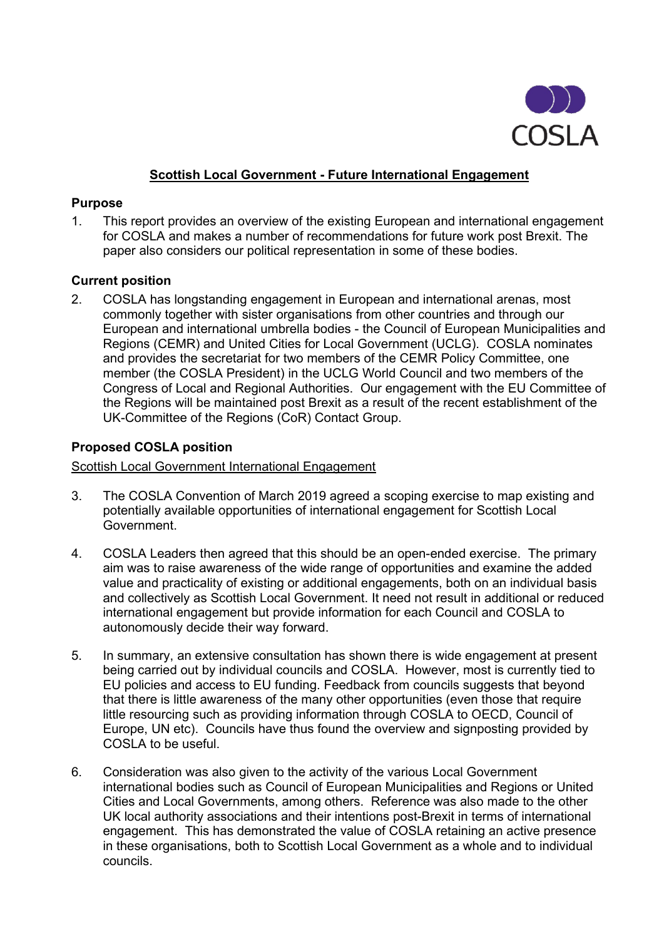

## **Scottish Local Government - Future International Engagement**

### **Purpose**

1. This report provides an overview of the existing European and international engagement for COSLA and makes a number of recommendations for future work post Brexit. The paper also considers our political representation in some of these bodies.

## **Current position**

2. COSLA has longstanding engagement in European and international arenas, most commonly together with sister organisations from other countries and through our European and international umbrella bodies - the Council of European Municipalities and Regions (CEMR) and United Cities for Local Government (UCLG). COSLA nominates and provides the secretariat for two members of the CEMR Policy Committee, one member (the COSLA President) in the UCLG World Council and two members of the Congress of Local and Regional Authorities. Our engagement with the EU Committee of the Regions will be maintained post Brexit as a result of the recent establishment of the UK-Committee of the Regions (CoR) Contact Group.

## **Proposed COSLA position**

### Scottish Local Government International Engagement

- 3. The COSLA Convention of March 2019 agreed a scoping exercise to map existing and potentially available opportunities of international engagement for Scottish Local Government.
- 4. COSLA Leaders then agreed that this should be an open-ended exercise. The primary aim was to raise awareness of the wide range of opportunities and examine the added value and practicality of existing or additional engagements, both on an individual basis and collectively as Scottish Local Government. It need not result in additional or reduced international engagement but provide information for each Council and COSLA to autonomously decide their way forward.
- 5. In summary, an extensive consultation has shown there is wide engagement at present being carried out by individual councils and COSLA. However, most is currently tied to EU policies and access to EU funding. Feedback from councils suggests that beyond that there is little awareness of the many other opportunities (even those that require little resourcing such as providing information through COSLA to OECD, Council of Europe, UN etc). Councils have thus found the overview and signposting provided by COSLA to be useful.
- 6. Consideration was also given to the activity of the various Local Government international bodies such as Council of European Municipalities and Regions or United Cities and Local Governments, among others. Reference was also made to the other UK local authority associations and their intentions post-Brexit in terms of international engagement. This has demonstrated the value of COSLA retaining an active presence in these organisations, both to Scottish Local Government as a whole and to individual councils.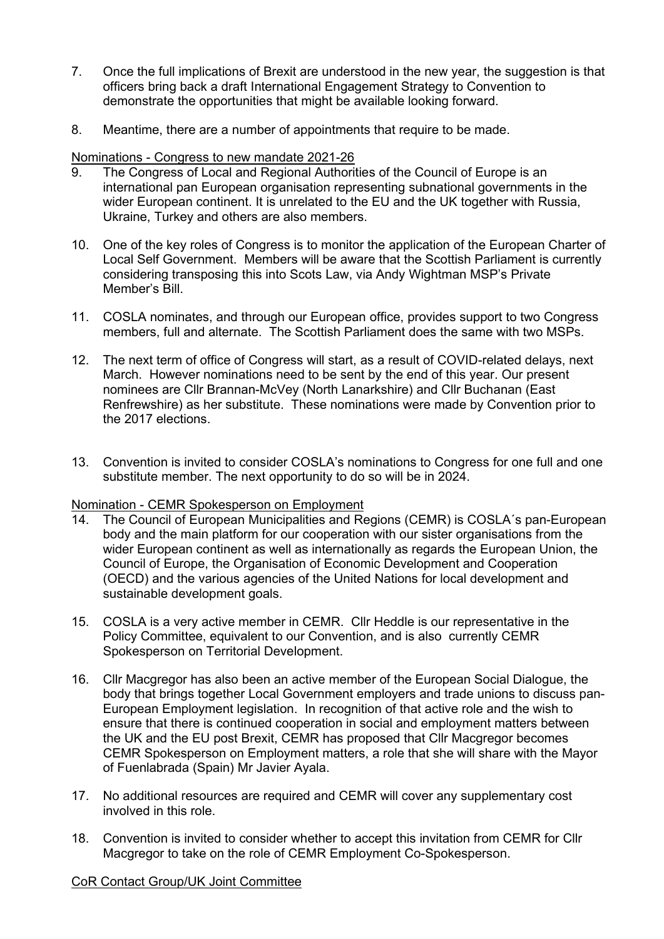- 7. Once the full implications of Brexit are understood in the new year, the suggestion is that officers bring back a draft International Engagement Strategy to Convention to demonstrate the opportunities that might be available looking forward.
- 8. Meantime, there are a number of appointments that require to be made.

## Nominations - Congress to new mandate 2021-26

- 9. The Congress of Local and Regional Authorities of the Council of Europe is an international pan European organisation representing subnational governments in the wider European continent. It is unrelated to the EU and the UK together with Russia, Ukraine, Turkey and others are also members.
- 10. One of the key roles of Congress is to monitor the application of the European Charter of Local Self Government. Members will be aware that the Scottish Parliament is currently considering transposing this into Scots Law, via Andy Wightman MSP's Private Member's Bill.
- 11. COSLA nominates, and through our European office, provides support to two Congress members, full and alternate. The Scottish Parliament does the same with two MSPs.
- 12. The next term of office of Congress will start, as a result of COVID-related delays, next March. However nominations need to be sent by the end of this year. Our present nominees are Cllr Brannan-McVey (North Lanarkshire) and Cllr Buchanan (East Renfrewshire) as her substitute. These nominations were made by Convention prior to the 2017 elections.
- 13. Convention is invited to consider COSLA's nominations to Congress for one full and one substitute member. The next opportunity to do so will be in 2024.

# Nomination - CEMR Spokesperson on Employment<br>14. The Council of European Municipalities and Re

- The Council of European Municipalities and Regions (CEMR) is COSLA's pan-European body and the main platform for our cooperation with our sister organisations from the wider European continent as well as internationally as regards the European Union, the Council of Europe, the Organisation of Economic Development and Cooperation (OECD) and the various agencies of the United Nations for local development and sustainable development goals.
- 15. COSLA is a very active member in CEMR. Cllr Heddle is our representative in the Policy Committee, equivalent to our Convention, and is also currently CEMR Spokesperson on Territorial Development.
- 16. Cllr Macgregor has also been an active member of the European Social Dialogue, the body that brings together Local Government employers and trade unions to discuss pan-European Employment legislation. In recognition of that active role and the wish to ensure that there is continued cooperation in social and employment matters between the UK and the EU post Brexit, CEMR has proposed that Cllr Macgregor becomes CEMR Spokesperson on Employment matters, a role that she will share with the Mayor of Fuenlabrada (Spain) Mr Javier Ayala.
- 17. No additional resources are required and CEMR will cover any supplementary cost involved in this role.
- 18. Convention is invited to consider whether to accept this invitation from CEMR for Cllr Macgregor to take on the role of CEMR Employment Co-Spokesperson.

#### CoR Contact Group/UK Joint Committee